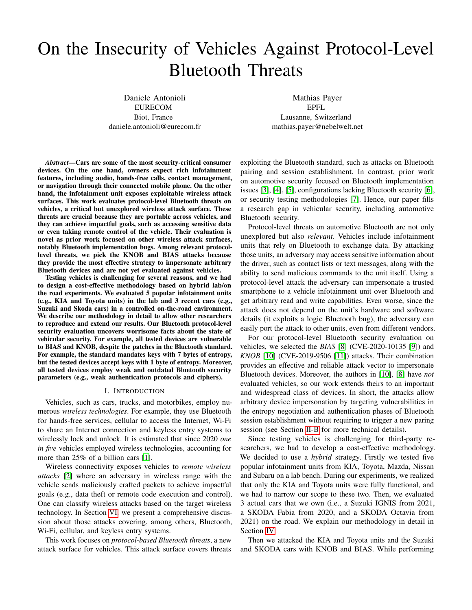# On the Insecurity of Vehicles Against Protocol-Level Bluetooth Threats

Daniele Antonioli EURECOM Biot, France daniele.antonioli@eurecom.fr

Mathias Payer EPFL Lausanne, Switzerland mathias.payer@nebelwelt.net

*Abstract*—Cars are some of the most security-critical consumer devices. On the one hand, owners expect rich infotainment features, including audio, hands-free calls, contact management, or navigation through their connected mobile phone. On the other hand, the infotainment unit exposes exploitable wireless attack surfaces. This work evaluates protocol-level Bluetooth threats on vehicles, a critical but unexplored wireless attack surface. These threats are crucial because they are portable across vehicles, and they can achieve impactful goals, such as accessing sensitive data or even taking remote control of the vehicle. Their evaluation is novel as prior work focused on other wireless attack surfaces, notably Bluetooth implementation bugs. Among relevant protocollevel threats, we pick the KNOB and BIAS attacks because they provide the most effective strategy to impersonate arbitrary Bluetooth devices and are not yet evaluated against vehicles.

Testing vehicles is challenging for several reasons, and we had to design a cost-effective methodology based on hybrid lab/on the road experiments. We evaluated 5 popular infotainment units (e.g., KIA and Toyota units) in the lab and 3 recent cars (e.g., Suzuki and Skoda cars) in a controlled on-the-road environment. We describe our methodology in detail to allow other researchers to reproduce and extend our results. Our Bluetooth protocol-level security evaluation uncovers worrisome facts about the state of vehicular security. For example, all tested devices are vulnerable to BIAS and KNOB, despite the patches in the Bluetooth standard. For example, the standard mandates keys with 7 bytes of entropy, but the tested devices accept keys with 1 byte of entropy. Moreover, all tested devices employ weak and outdated Bluetooth security parameters (e.g., weak authentication protocols and ciphers).

#### I. INTRODUCTION

Vehicles, such as cars, trucks, and motorbikes, employ numerous *wireless technologies*. For example, they use Bluetooth for hands-free services, cellular to access the Internet, Wi-Fi to share an Internet connection and keyless entry systems to wirelessly lock and unlock. It is estimated that since 2020 *one in five* vehicles employed wireless technologies, accounting for more than 25% of a billion cars [\[1\]](#page-8-0).

Wireless connectivity exposes vehicles to *remote wireless attacks* [\[2\]](#page-8-1) where an adversary in wireless range with the vehicle sends maliciously crafted packets to achieve impactful goals (e.g., data theft or remote code execution and control). One can classify wireless attacks based on the target wireless technology. In Section [VI,](#page-6-0) we present a comprehensive discussion about those attacks covering, among others, Bluetooth, Wi-Fi, cellular, and keyless entry systems.

This work focuses on *protocol-based Bluetooth threats*, a new attack surface for vehicles. This attack surface covers threats exploiting the Bluetooth standard, such as attacks on Bluetooth pairing and session establishment. In contrast, prior work on automotive security focused on Bluetooth implementation issues [\[3\]](#page-8-2), [\[4\]](#page-8-3), [\[5\]](#page-8-4), configurations lacking Bluetooth security [\[6\]](#page-8-5), or security testing methodologies [\[7\]](#page-8-6). Hence, our paper fills a research gap in vehicular security, including automotive Bluetooth security.

Protocol-level threats on automotive Bluetooth are not only unexplored but also *relevant*. Vehicles include infotainment units that rely on Bluetooth to exchange data. By attacking those units, an adversary may access sensitive information about the driver, such as contact lists or text messages, along with the ability to send malicious commands to the unit itself. Using a protocol-level attack the adversary can impersonate a trusted smartphone to a vehicle infotainment unit over Bluetooth and get arbitrary read and write capabilities. Even worse, since the attack does not depend on the unit's hardware and software details (it exploits a logic Bluetooth bug), the adversary can easily port the attack to other units, even from different vendors.

For our protocol-level Bluetooth security evaluation on vehicles, we selected the *BIAS* [\[8\]](#page-8-7) (CVE-2020-10135 [\[9\]](#page-8-8)) and *KNOB* [\[10\]](#page-8-9) (CVE-2019-9506 [\[11\]](#page-8-10)) attacks. Their combination provides an effective and reliable attack vector to impersonate Bluetooth devices. Moreover, the authors in [\[10\]](#page-8-9), [\[8\]](#page-8-7) have *not* evaluated vehicles, so our work extends theirs to an important and widespread class of devices. In short, the attacks allow arbitrary device impersonation by targeting vulnerabilities in the entropy negotiation and authentication phases of Bluetooth session establishment without requiring to trigger a new paring session (see Section [II-B](#page-1-0) for more technical details).

Since testing vehicles is challenging for third-party researchers, we had to develop a cost-effective methodology. We decided to use a *hybrid* strategy. Firstly we tested five popular infotainment units from KIA, Toyota, Mazda, Nissan and Subaru on a lab bench. During our experiments, we realized that only the KIA and Toyota units were fully functional, and we had to narrow our scope to these two. Then, we evaluated 3 actual cars that we own (i.e., a Suzuki IGNIS from 2021, a SKODA Fabia from 2020, and a SKODA Octavia from 2021) on the road. We explain our methodology in detail in Section [IV.](#page-3-0)

Then we attacked the KIA and Toyota units and the Suzuki and SKODA cars with KNOB and BIAS. While performing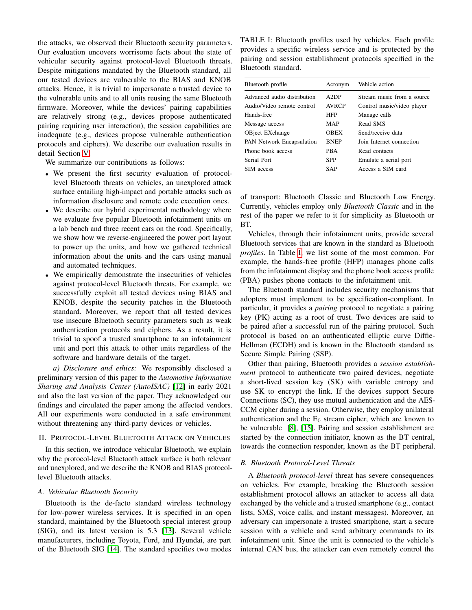the attacks, we observed their Bluetooth security parameters. Our evaluation uncovers worrisome facts about the state of vehicular security against protocol-level Bluetooth threats. Despite mitigations mandated by the Bluetooth standard, all our tested devices are vulnerable to the BIAS and KNOB attacks. Hence, it is trivial to impersonate a trusted device to the vulnerable units and to all units reusing the same Bluetooth firmware. Moreover, while the devices' pairing capabilities are relatively strong (e.g., devices propose authenticated pairing requiring user interaction), the session capabilities are inadequate (e.g., devices propose vulnerable authentication protocols and ciphers). We describe our evaluation results in detail Section [V.](#page-6-1)

We summarize our contributions as follows:

- We present the first security evaluation of protocollevel Bluetooth threats on vehicles, an unexplored attack surface entailing high-impact and portable attacks such as information disclosure and remote code execution ones.
- We describe our hybrid experimental methodology where we evaluate five popular Bluetooth infotainment units on a lab bench and three recent cars on the road. Specifically, we show how we reverse-engineered the power port layout to power up the units, and how we gathered technical information about the units and the cars using manual and automated techniques.
- We empirically demonstrate the insecurities of vehicles against protocol-level Bluetooth threats. For example, we successfully exploit all tested devices using BIAS and KNOB, despite the security patches in the Bluetooth standard. Moreover, we report that all tested devices use insecure Bluetooth security parameters such as weak authentication protocols and ciphers. As a result, it is trivial to spoof a trusted smartphone to an infotainment unit and port this attack to other units regardless of the software and hardware details of the target.

*a) Disclosure and ethics:* We responsibly disclosed a preliminary version of this paper to the *Automotive Information Sharing and Analysis Center (AutoISAC)* [\[12\]](#page-8-11) in early 2021 and also the last version of the paper. They acknowledged our findings and circulated the paper among the affected vendors. All our experiments were conducted in a safe environment without threatening any third-party devices or vehicles.

## II. PROTOCOL-LEVEL BLUETOOTH ATTACK ON VEHICLES

In this section, we introduce vehicular Bluetooth, we explain why the protocol-level Bluetooth attack surface is both relevant and unexplored, and we describe the KNOB and BIAS protocollevel Bluetooth attacks.

# *A. Vehicular Bluetooth Security*

Bluetooth is the de-facto standard wireless technology for low-power wireless services. It is specified in an open standard, maintained by the Bluetooth special interest group (SIG), and its latest version is 5.3 [\[13\]](#page-8-12). Several vehicle manufacturers, including Toyota, Ford, and Hyundai, are part of the Bluetooth SIG [\[14\]](#page-8-13). The standard specifies two modes

<span id="page-1-1"></span>TABLE I: Bluetooth profiles used by vehicles. Each profile provides a specific wireless service and is protected by the pairing and session establishment protocols specified in the Bluetooth standard.

| Bluetooth profile                | Acronym      | Vehicle action             |
|----------------------------------|--------------|----------------------------|
| Advanced audio distribution      | A2DP         | Stream music from a source |
| Audio/Video remote control       | <b>AVRCP</b> | Control music/video player |
| Hands-free                       | <b>HFP</b>   | Manage calls               |
| Message access                   | MAP          | Read SMS                   |
| <b>OBject EXchange</b>           | <b>OBEX</b>  | Send/receive data          |
| <b>PAN Network Encapsulation</b> | <b>BNEP</b>  | Join Internet connection   |
| Phone book access                | <b>PRA</b>   | Read contacts              |
| Serial Port                      | <b>SPP</b>   | Emulate a serial port      |
| SIM access                       | SAP          | Access a SIM card          |

of transport: Bluetooth Classic and Bluetooth Low Energy. Currently, vehicles employ only *Bluetooth Classic* and in the rest of the paper we refer to it for simplicity as Bluetooth or BT.

Vehicles, through their infotainment units, provide several Bluetooth services that are known in the standard as Bluetooth *profiles*. In Table [I,](#page-1-1) we list some of the most common. For example, the hands-free profile (HFP) manages phone calls from the infotainment display and the phone book access profile (PBA) pushes phone contacts to the infotainment unit.

The Bluetooth standard includes security mechanisms that adopters must implement to be specification-compliant. In particular, it provides a *pairing* protocol to negotiate a pairing key (PK) acting as a root of trust. Two devices are said to be paired after a successful run of the pairing protocol. Such protocol is based on an authenticated elliptic curve Diffie-Hellman (ECDH) and is known in the Bluetooth standard as Secure Simple Pairing (SSP).

Other than pairing, Bluetooth provides a *session establishment* protocol to authenticate two paired devices, negotiate a short-lived session key (SK) with variable entropy and use SK to encrypt the link. If the devices support Secure Connections (SC), they use mutual authentication and the AES-CCM cipher during a session. Otherwise, they employ unilateral authentication and the  $E_0$  stream cipher, which are known to be vulnerable [\[8\]](#page-8-7), [\[15\]](#page-8-14). Pairing and session establishment are started by the connection initiator, known as the BT central, towards the connection responder, known as the BT peripheral.

## <span id="page-1-0"></span>*B. Bluetooth Protocol-Level Threats*

A *Bluetooth protocol-level* threat has severe consequences on vehicles. For example, breaking the Bluetooth session establishment protocol allows an attacker to access all data exchanged by the vehicle and a trusted smartphone (e.g., contact lists, SMS, voice calls, and instant messages). Moreover, an adversary can impersonate a trusted smartphone, start a secure session with a vehicle and send arbitrary commands to its infotainment unit. Since the unit is connected to the vehicle's internal CAN bus, the attacker can even remotely control the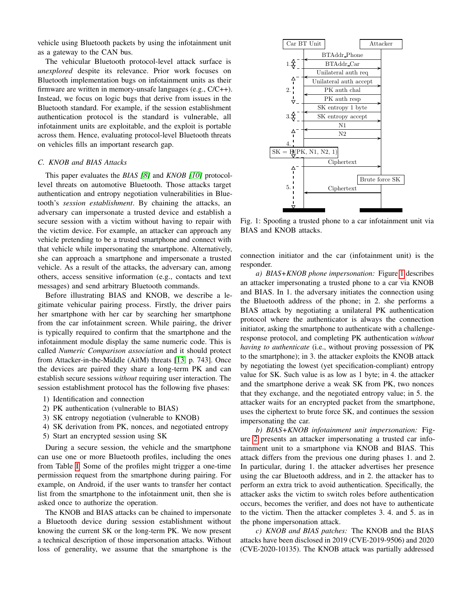vehicle using Bluetooth packets by using the infotainment unit as a gateway to the CAN bus.

The vehicular Bluetooth protocol-level attack surface is *unexplored* despite its relevance. Prior work focuses on Bluetooth implementation bugs on infotainment units as their firmware are written in memory-unsafe languages (e.g., C/C++). Instead, we focus on logic bugs that derive from issues in the Bluetooth standard. For example, if the session establishment authentication protocol is the standard is vulnerable, all infotainment units are exploitable, and the exploit is portable across them. Hence, evaluating protocol-level Bluetooth threats on vehicles fills an important research gap.

#### <span id="page-2-1"></span>*C. KNOB and BIAS Attacks*

This paper evaluates the *BIAS [\[8\]](#page-8-7)* and *KNOB [\[10\]](#page-8-9)* protocollevel threats on automotive Bluetooth. Those attacks target authentication and entropy negotiation vulnerabilities in Bluetooth's *session establishment*. By chaining the attacks, an adversary can impersonate a trusted device and establish a secure session with a victim without having to repair with the victim device. For example, an attacker can approach any vehicle pretending to be a trusted smartphone and connect with that vehicle while impersonating the smartphone. Alternatively, she can approach a smartphone and impersonate a trusted vehicle. As a result of the attacks, the adversary can, among others, access sensitive information (e.g., contacts and text messages) and send arbitrary Bluetooth commands.

Before illustrating BIAS and KNOB, we describe a legitimate vehicular pairing process. Firstly, the driver pairs her smartphone with her car by searching her smartphone from the car infotainment screen. While pairing, the driver is typically required to confirm that the smartphone and the infotainment module display the same numeric code. This is called *Numeric Comparison association* and it should protect from Attacker-in-the-Middle (AitM) threats [\[13,](#page-8-12) p. 743]. Once the devices are paired they share a long-term PK and can establish secure sessions *without* requiring user interaction. The session establishment protocol has the following five phases:

- 1) Identification and connection
- 2) PK authentication (vulnerable to BIAS)
- 3) SK entropy negotiation (vulnerable to KNOB)
- 4) SK derivation from PK, nonces, and negotiated entropy
- 5) Start an encrypted session using SK

During a secure session, the vehicle and the smartphone can use one or more Bluetooth profiles, including the ones from Table [I.](#page-1-1) Some of the profiles might trigger a one-time permission request from the smartphone during pairing. For example, on Android, if the user wants to transfer her contact list from the smartphone to the infotainment unit, then she is asked once to authorize the operation.

The KNOB and BIAS attacks can be chained to impersonate a Bluetooth device during session establishment without knowing the current SK or the long-term PK. We now present a technical description of those impersonation attacks. Without loss of generality, we assume that the smartphone is the

<span id="page-2-0"></span>

Fig. 1: Spoofing a trusted phone to a car infotainment unit via BIAS and KNOB attacks.

connection initiator and the car (infotainment unit) is the responder.

*a) BIAS+KNOB phone impersonation:* Figure [1](#page-2-0) describes an attacker impersonating a trusted phone to a car via KNOB and BIAS. In 1. the adversary initiates the connection using the Bluetooth address of the phone; in 2. she performs a BIAS attack by negotiating a unilateral PK authentication protocol where the authenticator is always the connection initiator, asking the smartphone to authenticate with a challengeresponse protocol, and completing PK authentication *without having to authenticate* (i.e., without proving possession of PK to the smartphone); in 3. the attacker exploits the KNOB attack by negotiating the lowest (yet specification-compliant) entropy value for SK. Such value is as low as 1 byte; in 4. the attacker and the smartphone derive a weak SK from PK, two nonces that they exchange, and the negotiated entropy value; in 5. the attacker waits for an encrypted packet from the smartphone, uses the ciphertext to brute force SK, and continues the session impersonating the car.

*b) BIAS+KNOB infotainment unit impersonation:* Figure [2](#page-3-1) presents an attacker impersonating a trusted car infotainment unit to a smartphone via KNOB and BIAS. This attack differs from the previous one during phases 1. and 2. In particular, during 1. the attacker advertises her presence using the car Bluetooth address, and in 2. the attacker has to perform an extra trick to avoid authentication. Specifically, the attacker asks the victim to switch roles before authentication occurs, becomes the verifier, and does not have to authenticate to the victim. Then the attacker completes 3. 4. and 5. as in the phone impersonation attack.

*c) KNOB and BIAS patches:* The KNOB and the BIAS attacks have been disclosed in 2019 (CVE-2019-9506) and 2020 (CVE-2020-10135). The KNOB attack was partially addressed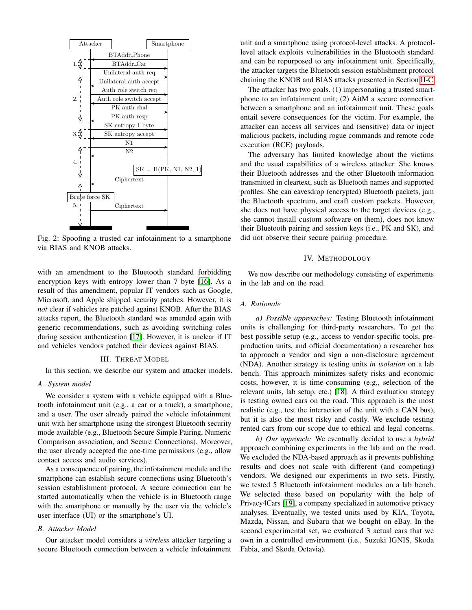<span id="page-3-1"></span>

Fig. 2: Spoofing a trusted car infotainment to a smartphone via BIAS and KNOB attacks.

with an amendment to the Bluetooth standard forbidding encryption keys with entropy lower than 7 byte [\[16\]](#page-8-15). As a result of this amendment, popular IT vendors such as Google, Microsoft, and Apple shipped security patches. However, it is *not* clear if vehicles are patched against KNOB. After the BIAS attacks report, the Bluetooth standard was amended again with generic recommendations, such as avoiding switching roles during session authentication [\[17\]](#page-8-16). However, it is unclear if IT and vehicles vendors patched their devices against BIAS.

## III. THREAT MODEL

In this section, we describe our system and attacker models.

#### *A. System model*

We consider a system with a vehicle equipped with a Bluetooth infotainment unit (e.g., a car or a truck), a smartphone, and a user. The user already paired the vehicle infotainment unit with her smartphone using the strongest Bluetooth security mode available (e.g., Bluetooth Secure Simple Pairing, Numeric Comparison association, and Secure Connections). Moreover, the user already accepted the one-time permissions (e.g., allow contact access and audio services).

As a consequence of pairing, the infotainment module and the smartphone can establish secure connections using Bluetooth's session establishment protocol. A secure connection can be started automatically when the vehicle is in Bluetooth range with the smartphone or manually by the user via the vehicle's user interface (UI) or the smartphone's UI.

## *B. Attacker Model*

Our attacker model considers a *wireless* attacker targeting a secure Bluetooth connection between a vehicle infotainment unit and a smartphone using protocol-level attacks. A protocollevel attack exploits vulnerabilities in the Bluetooth standard and can be repurposed to any infotainment unit. Specifically, the attacker targets the Bluetooth session establishment protocol chaining the KNOB and BIAS attacks presented in Section [II-C.](#page-2-1)

The attacker has two goals. (1) impersonating a trusted smartphone to an infotainment unit; (2) AitM a secure connection between a smartphone and an infotainment unit. These goals entail severe consequences for the victim. For example, the attacker can access all services and (sensitive) data or inject malicious packets, including rogue commands and remote code execution (RCE) payloads.

The adversary has limited knowledge about the victims and the usual capabilities of a wireless attacker. She knows their Bluetooth addresses and the other Bluetooth information transmitted in cleartext, such as Bluetooth names and supported profiles. She can eavesdrop (encrypted) Bluetooth packets, jam the Bluetooth spectrum, and craft custom packets. However, she does not have physical access to the target devices (e.g., she cannot install custom software on them), does not know their Bluetooth pairing and session keys (i.e., PK and SK), and did not observe their secure pairing procedure.

### IV. METHODOLOGY

<span id="page-3-0"></span>We now describe our methodology consisting of experiments in the lab and on the road.

# *A. Rationale*

*a) Possible approaches:* Testing Bluetooth infotainment units is challenging for third-party researchers. To get the best possible setup (e.g., access to vendor-specific tools, preproduction units, and official documentation) a researcher has to approach a vendor and sign a non-disclosure agreement (NDA). Another strategy is testing units *in isolation* on a lab bench. This approach minimizes safety risks and economic costs, however, it is time-consuming (e.g., selection of the relevant units, lab setup, etc.) [\[18\]](#page-8-17). A third evaluation strategy is testing owned cars on the road. This approach is the most realistic (e.g., test the interaction of the unit with a CAN bus), but it is also the most risky and costly. We exclude testing rented cars from our scope due to ethical and legal concerns.

*b) Our approach:* We eventually decided to use a *hybrid* approach combining experiments in the lab and on the road. We excluded the NDA-based approach as it prevents publishing results and does not scale with different (and competing) vendors. We designed our experiments in two sets. Firstly, we tested 5 Bluetooth infotainment modules on a lab bench. We selected these based on popularity with the help of Privacy4Cars [\[19\]](#page-8-18), a company specialized in automotive privacy analyses. Eventually, we tested units used by KIA, Toyota, Mazda, Nissan, and Subaru that we bought on eBay. In the second experimental set, we evaluated 3 actual cars that we own in a controlled environment (i.e., Suzuki IGNIS, Skoda Fabia, and Skoda Octavia).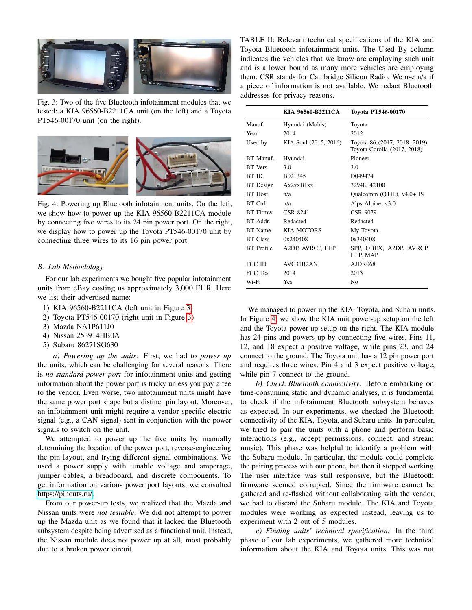<span id="page-4-0"></span>

Fig. 3: Two of the five Bluetooth infotainment modules that we tested: a KIA 96560-B2211CA unit (on the left) and a Toyota PT546-00170 unit (on the right).

<span id="page-4-1"></span>

Fig. 4: Powering up Bluetooth infotainment units. On the left, we show how to power up the KIA 96560-B2211CA module by connecting five wires to its 24 pin power port. On the right, we display how to power up the Toyota PT546-00170 unit by connecting three wires to its 16 pin power port.

# *B. Lab Methodology*

For our lab experiments we bought five popular infotainment units from eBay costing us approximately 3,000 EUR. Here we list their advertised name:

- 1) KIA 96560-B2211CA (left unit in Figure [3\)](#page-4-0)
- 2) Toyota PT546-00170 (right unit in Figure [3\)](#page-4-0)
- 3) Mazda NA1P611J0
- 4) Nissan 253914HB0A
- 5) Subaru 86271SG630

*a) Powering up the units:* First, we had to *power up* the units, which can be challenging for several reasons. There is *no standard power port* for infotainment units and getting information about the power port is tricky unless you pay a fee to the vendor. Even worse, two infotainment units might have the same power port shape but a distinct pin layout. Moreover, an infotainment unit might require a vendor-specific electric signal (e.g., a CAN signal) sent in conjunction with the power signals to switch on the unit.

We attempted to power up the five units by manually determining the location of the power port, reverse-engineering the pin layout, and trying different signal combinations. We used a power supply with tunable voltage and amperage, jumper cables, a breadboard, and discrete components. To get information on various power port layouts, we consulted [https://pinouts.ru/.](https://pinouts.ru/)

From our power-up tests, we realized that the Mazda and Nissan units were *not testable*. We did not attempt to power up the Mazda unit as we found that it lacked the Bluetooth subsystem despite being advertised as a functional unit. Instead, the Nissan module does not power up at all, most probably due to a broken power circuit.

<span id="page-4-2"></span>TABLE II: Relevant technical specifications of the KIA and Toyota Bluetooth infotainment units. The Used By column indicates the vehicles that we know are employing such unit and is a lower bound as many more vehicles are employing them. CSR stands for Cambridge Silicon Radio. We use n/a if a piece of information is not available. We redact Bluetooth addresses for privacy reasons.

|                   | KIA 96560-B2211CA     | Toyota PT546-00170                                           |
|-------------------|-----------------------|--------------------------------------------------------------|
| Manuf.            | Hyundai (Mobis)       | Toyota                                                       |
| Year              | 2014                  | 2012                                                         |
| Used by           | KIA Soul (2015, 2016) | Toyota 86 (2017, 2018, 2019),<br>Toyota Corolla (2017, 2018) |
| BT Manuf.         | Hyundai               | Pioneer                                                      |
| BT Vers.          | 3.0                   | 3.0                                                          |
| <b>BT ID</b>      | B <sub>021345</sub>   | D049474                                                      |
| BT Design         | Ax2xxB1xx             | 32948, 42100                                                 |
| <b>BT</b> Host    | n/a                   | Qualcomm (QTIL), v4.0+HS                                     |
| <b>BT</b> Ctrl    | n/a                   | Alps Alpine, v3.0                                            |
| BT Firmw.         | <b>CSR 8241</b>       | CSR 9079                                                     |
| BT Addr           | Redacted              | Redacted                                                     |
| <b>BT</b> Name    | KIA MOTORS            | My Toyota                                                    |
| <b>BT</b> Class   | 0x240408              | 0x340408                                                     |
| <b>BT</b> Profile | A2DP, AVRCP, HFP      | SPP, OBEX, A2DP, AVRCP,<br>HFP, MAP                          |
| FCC ID            | AVC31B2AN             | <b>AJDK068</b>                                               |
| FCC Test          | 2014                  | 2013                                                         |
| Wi-Fi             | Yes                   | N <sub>0</sub>                                               |

We managed to power up the KIA, Toyota, and Subaru units. In Figure [4,](#page-4-1) we show the KIA unit power-up setup on the left and the Toyota power-up setup on the right. The KIA module has 24 pins and powers up by connecting five wires. Pins 11, 12, and 18 expect a positive voltage, while pins 23, and 24 connect to the ground. The Toyota unit has a 12 pin power port and requires three wires. Pin 4 and 3 expect positive voltage, while pin 7 connect to the ground.

*b) Check Bluetooth connectivity:* Before embarking on time-consuming static and dynamic analyses, it is fundamental to check if the infotainment Bluetooth subsystem behaves as expected. In our experiments, we checked the Bluetooth connectivity of the KIA, Toyota, and Subaru units. In particular, we tried to pair the units with a phone and perform basic interactions (e.g., accept permissions, connect, and stream music). This phase was helpful to identify a problem with the Subaru module. In particular, the module could complete the pairing process with our phone, but then it stopped working. The user interface was still responsive, but the Bluetooth firmware seemed corrupted. Since the firmware cannot be gathered and re-flashed without collaborating with the vendor, we had to discard the Subaru module. The KIA and Toyota modules were working as expected instead, leaving us to experiment with 2 out of 5 modules.

*c) Finding units' technical specification:* In the third phase of our lab experiments, we gathered more technical information about the KIA and Toyota units. This was not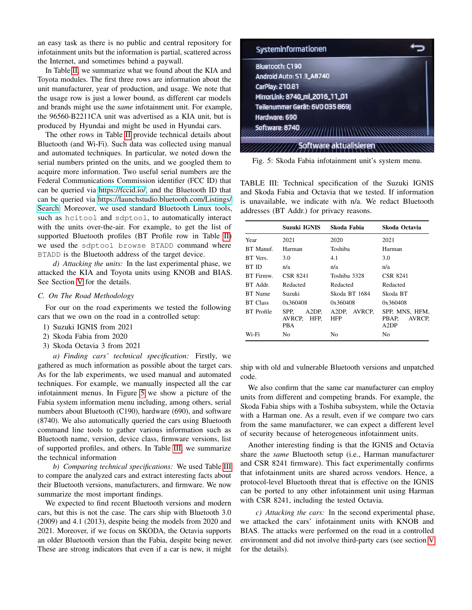an easy task as there is no public and central repository for infotainment units but the information is partial, scattered across the Internet, and sometimes behind a paywall.

In Table [II,](#page-4-2) we summarize what we found about the KIA and Toyota modules. The first three rows are information about the unit manufacturer, year of production, and usage. We note that the usage row is just a lower bound, as different car models and brands might use the *same* infotainment unit. For example, the 96560-B2211CA unit was advertised as a KIA unit, but is produced by Hyundai and might be used in Hyundai cars.

The other rows in Table [II](#page-4-2) provide technical details about Bluetooth (and Wi-Fi). Such data was collected using manual and automated techniques. In particular, we noted down the serial numbers printed on the units, and we googled them to acquire more information. Two useful serial numbers are the Federal Communications Commission identifier (FCC ID) that can be queried via [https://fccid.io/,](https://fccid.io/) and the Bluetooth ID that can be queried via [https://launchstudio.bluetooth.com/Listings/](https://launchstudio.bluetooth.com/Listings/Search) [Search.](https://launchstudio.bluetooth.com/Listings/Search) Moreover, we used standard Bluetooth Linux tools, such as hcitool and sdptool, to automatically interact with the units over-the-air. For example, to get the list of supported Bluetooth profiles (BT Profile row in Table [II\)](#page-4-2) we used the sdptool browse BTADD command where BTADD is the Bluetooth address of the target device.

*d) Attacking the units:* In the last experimental phase, we attacked the KIA and Toyota units using KNOB and BIAS. See Section [V](#page-6-1) for the details.

### *C. On The Road Methodology*

For our on the road experiments we tested the following cars that we own on the road in a controlled setup:

- 1) Suzuki IGNIS from 2021
- 2) Skoda Fabia from 2020
- 3) Skoda Octavia 3 from 2021

*a) Finding cars' technical specification:* Firstly, we gathered as much information as possible about the target cars. As for the lab experiments, we used manual and automated techniques. For example, we manually inspected all the car infotainment menus. In Figure [5](#page-5-0) we show a picture of the Fabia system information menu including, among others, serial numbers about Bluetooth (C190), hardware (690), and software (8740). We also automatically queried the cars using Bluetooth command line tools to gather various information such as Bluetooth name, version, device class, firmware versions, list of supported profiles, and others. In Table [III,](#page-5-1) we summarize the technical information

*b) Comparing technical specifications:* We used Table [III](#page-5-1) to compare the analyzed cars and extract interesting facts about their Bluetooth versions, manufacturers, and firmware. We now summarize the most important findings.

We expected to find recent Bluetooth versions and modern cars, but this is not the case. The cars ship with Bluetooth 3.0 (2009) and 4.1 (2013), despite being the models from 2020 and 2021. Moreover, if we focus on SKODA, the Octavia supports an older Bluetooth version than the Fabia, despite being newer. These are strong indicators that even if a car is new, it might

<span id="page-5-0"></span>

Fig. 5: Skoda Fabia infotainment unit's system menu.

<span id="page-5-1"></span>TABLE III: Technical specification of the Suzuki IGNIS and Skoda Fabia and Octavia that we tested. If information is unavailable, we indicate with n/a. We redact Bluetooth addresses (BT Addr.) for privacy reasons.

|                 | Suzuki IGNIS                        | Skoda Fabia          | Skoda Octavia                             |  |
|-----------------|-------------------------------------|----------------------|-------------------------------------------|--|
| Year            | 2021                                | 2020                 | 2021                                      |  |
| <b>BT</b> Manuf | Harman                              | Toshiba<br>Harman    |                                           |  |
| BT Vers.        | 3.0                                 | 4.1                  | 3.0                                       |  |
| BT ID           | n/a                                 | n/a                  | n/a                                       |  |
| BT Firmw.       | <b>CSR 8241</b>                     | Toshiba 3328         | CSR 8241                                  |  |
| BT Addr.        | Redacted                            | Redacted             | Redacted                                  |  |
| <b>BT</b> Name  | Suzuki                              | Skoda BT 1684        | Skoda BT                                  |  |
| <b>BT</b> Class | 0x360408                            | 0x360408<br>0x360408 |                                           |  |
| BT Profile      | A2DP.<br>SPP.<br>AVRCP. HFP.<br>PBA | A2DP. AVRCP.<br>HFP  | SPP. MNS. HFM.<br>PBAP.<br>AVRCP.<br>A2DP |  |
| Wi-Fi           | No                                  | No                   | No                                        |  |

ship with old and vulnerable Bluetooth versions and unpatched code.

We also confirm that the same car manufacturer can employ units from different and competing brands. For example, the Skoda Fabia ships with a Toshiba subsystem, while the Octavia with a Harman one. As a result, even if we compare two cars from the same manufacturer, we can expect a different level of security because of heterogeneous infotainment units.

Another interesting finding is that the IGNIS and Octavia share the *same* Bluetooth setup (i.e., Harman manufacturer and CSR 8241 firmware). This fact experimentally confirms that infotainment units are shared across vendors. Hence, a protocol-level Bluetooth threat that is effective on the IGNIS can be ported to any other infotainment unit using Harman with CSR 8241, including the tested Octavia.

*c) Attacking the cars:* In the second experimental phase, we attacked the cars' infotainment units with KNOB and BIAS. The attacks were performed on the road in a controlled environment and did not involve third-party cars (see section [V](#page-6-1) for the details).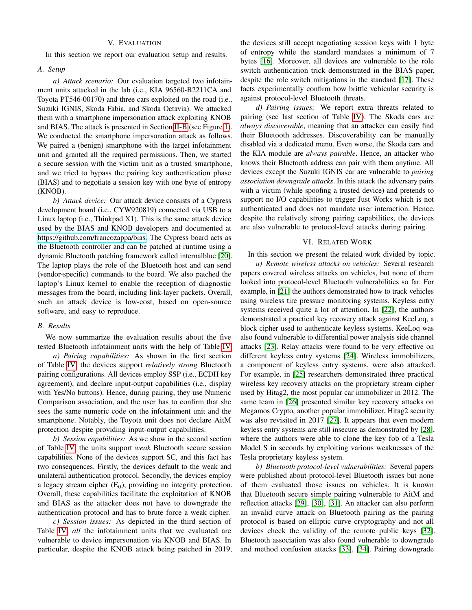## V. EVALUATION

<span id="page-6-1"></span>In this section we report our evaluation setup and results.

### *A. Setup*

*a) Attack scenario:* Our evaluation targeted two infotainment units attacked in the lab (i.e., KIA 96560-B2211CA and Toyota PT546-00170) and three cars exploited on the road (i.e., Suzuki IGNIS, Skoda Fabia, and Skoda Octavia). We attacked them with a smartphone impersonation attack exploiting KNOB and BIAS. The attack is presented in Section [II-B](#page-1-0) (see Figure [1\)](#page-2-0). We conducted the smartphone impersonation attack as follows. We paired a (benign) smartphone with the target infotainment unit and granted all the required permissions. Then, we started a secure session with the victim unit as a trusted smartphone, and we tried to bypass the pairing key authentication phase (BIAS) and to negotiate a session key with one byte of entropy (KNOB).

*b) Attack device:* Our attack device consists of a Cypress development board (i.e., CYW920819) connected via USB to a Linux laptop (i.e., Thinkpad X1). This is the same attack device used by the BIAS and KNOB developers and documented at [https://github.com/francozappa/bias.](https://github.com/francozappa/bias) The Cypress board acts as the Bluetooth controller and can be patched at runtime using a dynamic Bluetooth patching framework called internalblue [\[20\]](#page-8-19). The laptop plays the role of the Bluetooth host and can send (vendor-specific) commands to the board. We also patched the laptop's Linux kernel to enable the reception of diagnostic messages from the board, including link-layer packets. Overall, such an attack device is low-cost, based on open-source software, and easy to reproduce.

## *B. Results*

We now summarize the evaluation results about the five tested Bluetooth infotainment units with the help of Table [IV.](#page-7-0)

*a) Pairing capabilities:* As shown in the first section of Table [IV,](#page-7-0) the devices support *relatively strong* Bluetooth pairing configurations. All devices employ SSP (i.e., ECDH key agreement), and declare input-output capabilities (i.e., display with Yes/No buttons). Hence, during pairing, they use Numeric Comparison association, and the user has to confirm that she sees the same numeric code on the infotainment unit and the smartphone. Notably, the Toyota unit does not declare AitM protection despite providing input-output capabilities.

*b) Session capabilities:* As we show in the second section of Table [IV,](#page-7-0) the units support *weak* Bluetooth secure session capabilities. None of the devices support SC, and this fact has two consequences. Firstly, the devices default to the weak and unilateral authentication protocol. Secondly, the devices employ a legacy stream cipher  $(E_0)$ , providing no integrity protection. Overall, these capabilities facilitate the exploitation of KNOB and BIAS as the attacker does not have to downgrade the authentication protocol and has to brute force a weak cipher.

*c) Session issues:* As depicted in the third section of Table [IV,](#page-7-0) *all* the infotainment units that we evaluated are vulnerable to device impersonation via KNOB and BIAS. In particular, despite the KNOB attack being patched in 2019, the devices still accept negotiating session keys with 1 byte of entropy while the standard mandates a minimum of 7 bytes [\[16\]](#page-8-15). Moreover, all devices are vulnerable to the role switch authentication trick demonstrated in the BIAS paper, despite the role switch mitigations in the standard [\[17\]](#page-8-16). These facts experimentally confirm how brittle vehicular security is against protocol-level Bluetooth threats.

*d) Pairing issues:* We report extra threats related to pairing (see last section of Table [IV\)](#page-7-0). The Skoda cars are *always discoverable*, meaning that an attacker can easily find their Bluetooth addresses. Discoverability can be manually disabled via a dedicated menu. Even worse, the Skoda cars and the KIA module are *always pairable*. Hence, an attacker who knows their Bluetooth address can pair with them anytime. All devices except the Suzuki IGNIS car are vulnerable to *pairing association downgrade attacks*. In this attack the adversary pairs with a victim (while spoofing a trusted device) and pretends to support no I/O capabilities to trigger Just Works which is not authenticated and does not mandate user interaction. Hence, despite the relatively strong pairing capabilities, the devices are also vulnerable to protocol-level attacks during pairing.

## VI. RELATED WORK

<span id="page-6-0"></span>In this section we present the related work divided by topic.

*a) Remote wireless attacks on vehicles:* Several research papers covered wireless attacks on vehicles, but none of them looked into protocol-level Bluetooth vulnerabilities so far. For example, in [\[21\]](#page-8-20) the authors demonstrated how to track vehicles using wireless tire pressure monitoring systems. Keyless entry systems received quite a lot of attention. In [\[22\]](#page-8-21), the authors demonstrated a practical key recovery attack against KeeLoq, a block cipher used to authenticate keyless systems. KeeLoq was also found vulnerable to differential power analysis side channel attacks [\[23\]](#page-8-22). Relay attacks were found to be very effective on different keyless entry systems [\[24\]](#page-8-23). Wireless immobilizers, a component of keyless entry systems, were also attacked. For example, in [\[25\]](#page-8-24) researchers demonstrated three practical wireless key recovery attacks on the proprietary stream cipher used by Hitag2, the most popular car immobilizer in 2012. The same team in [\[26\]](#page-8-25) presented similar key recovery attacks on Megamos Crypto, another popular immobilizer. Hitag2 security was also revisited in 2017 [\[27\]](#page-8-26). It appears that even modern keyless entry systems are still insecure as demonstrated by [\[28\]](#page-8-27), where the authors were able to clone the key fob of a Tesla Model S in seconds by exploiting various weaknesses of the Tesla proprietary keyless system.

*b) Bluetooth protocol-level vulnerabilities:* Several papers were published about protocol-level Bluetooth issues but none of them evaluated those issues on vehicles. It is known that Bluetooth secure simple pairing vulnerable to AitM and reflection attacks [\[29\]](#page-8-28), [\[30\]](#page-8-29), [\[31\]](#page-9-0). An attacker can also perform an invalid curve attack on Bluetooth pairing as the pairing protocol is based on elliptic curve cryptography and not all devices check the validity of the remote public keys [\[32\]](#page-9-1). Bluetooth association was also found vulnerable to downgrade and method confusion attacks [\[33\]](#page-9-2), [\[34\]](#page-9-3). Pairing downgrade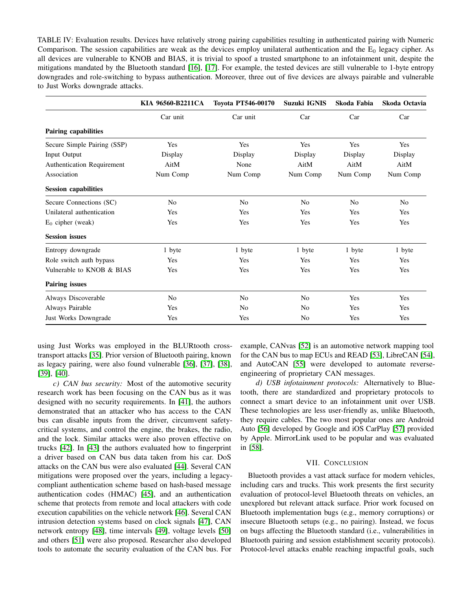<span id="page-7-0"></span>TABLE IV: Evaluation results. Devices have relatively strong pairing capabilities resulting in authenticated pairing with Numeric Comparison. The session capabilities are weak as the devices employ unilateral authentication and the  $E_0$  legacy cipher. As all devices are vulnerable to KNOB and BIAS, it is trivial to spoof a trusted smartphone to an infotainment unit, despite the mitigations mandated by the Bluetooth standard [\[16\]](#page-8-15), [\[17\]](#page-8-16). For example, the tested devices are still vulnerable to 1-byte entropy downgrades and role-switching to bypass authentication. Moreover, three out of five devices are always pairable and vulnerable to Just Works downgrade attacks.

|                             | KIA 96560-B2211CA | Toyota PT546-00170 | Suzuki IGNIS   | Skoda Fabia    | Skoda Octavia  |
|-----------------------------|-------------------|--------------------|----------------|----------------|----------------|
|                             | Car unit          | Car unit           | Car            | Car            | Car            |
| <b>Pairing capabilities</b> |                   |                    |                |                |                |
| Secure Simple Pairing (SSP) | Yes               | Yes                | Yes            | Yes            | Yes            |
| <b>Input Output</b>         | Display           | Display            | Display        | Display        | Display        |
| Authentication Requirement  | AitM              | None               | AitM           | AitM           | AitM           |
| Association                 | Num Comp          | Num Comp           | Num Comp       | Num Comp       | Num Comp       |
| <b>Session capabilities</b> |                   |                    |                |                |                |
| Secure Connections (SC)     | N <sub>0</sub>    | N <sub>0</sub>     | N <sub>0</sub> | N <sub>0</sub> | N <sub>0</sub> |
| Unilateral authentication   | Yes               | Yes                | Yes            | Yes            | Yes            |
| $E_0$ cipher (weak)         | Yes               | Yes                | Yes            | Yes            | Yes            |
| <b>Session</b> issues       |                   |                    |                |                |                |
| Entropy downgrade           | 1 byte            | 1 byte             | 1 byte         | 1 byte         | 1 byte         |
| Role switch auth bypass     | Yes               | Yes                | Yes            | Yes            | Yes            |
| Vulnerable to KNOB & BIAS   | Yes               | Yes                | Yes            | Yes            | Yes            |
| <b>Pairing issues</b>       |                   |                    |                |                |                |
| Always Discoverable         | N <sub>o</sub>    | N <sub>0</sub>     | N <sub>0</sub> | Yes            | Yes            |
| Always Pairable             | Yes               | N <sub>0</sub>     | N <sub>0</sub> | Yes            | Yes            |
| Just Works Downgrade        | Yes               | Yes                | N <sub>0</sub> | Yes            | Yes            |

using Just Works was employed in the BLURtooth crosstransport attacks [\[35\]](#page-9-4). Prior version of Bluetooth pairing, known as legacy pairing, were also found vulnerable [\[36\]](#page-9-5), [\[37\]](#page-9-6), [\[38\]](#page-9-7), [\[39\]](#page-9-8), [\[40\]](#page-9-9).

*c) CAN bus security:* Most of the automotive security research work has been focusing on the CAN bus as it was designed with no security requirements. In [\[41\]](#page-9-10), the authors demonstrated that an attacker who has access to the CAN bus can disable inputs from the driver, circumvent safetycritical systems, and control the engine, the brakes, the radio, and the lock. Similar attacks were also proven effective on trucks [\[42\]](#page-9-11). In [\[43\]](#page-9-12) the authors evaluated how to fingerprint a driver based on CAN bus data taken from his car. DoS attacks on the CAN bus were also evaluated [\[44\]](#page-9-13). Several CAN mitigations were proposed over the years, including a legacycompliant authentication scheme based on hash-based message authentication codes (HMAC) [\[45\]](#page-9-14), and an authentication scheme that protects from remote and local attackers with code execution capabilities on the vehicle network [\[46\]](#page-9-15). Several CAN intrusion detection systems based on clock signals [\[47\]](#page-9-16), CAN network entropy [\[48\]](#page-9-17), time intervals [\[49\]](#page-9-18), voltage levels [\[50\]](#page-9-19) and others [\[51\]](#page-9-20) were also proposed. Researcher also developed tools to automate the security evaluation of the CAN bus. For

example, CANvas [\[52\]](#page-9-21) is an automotive network mapping tool for the CAN bus to map ECUs and READ [\[53\]](#page-9-22), LibreCAN [\[54\]](#page-9-23), and AutoCAN [\[55\]](#page-9-24) were developed to automate reverseengineering of proprietary CAN messages.

*d) USB infotainment protocols:* Alternatively to Bluetooth, there are standardized and proprietary protocols to connect a smart device to an infotainment unit over USB. These technologies are less user-friendly as, unlike Bluetooth, they require cables. The two most popular ones are Android Auto [\[56\]](#page-9-25) developed by Google and iOS CarPlay [\[57\]](#page-9-26) provided by Apple. MirrorLink used to be popular and was evaluated in [\[58\]](#page-9-27).

#### VII. CONCLUSION

Bluetooth provides a vast attack surface for modern vehicles, including cars and trucks. This work presents the first security evaluation of protocol-level Bluetooth threats on vehicles, an unexplored but relevant attack surface. Prior work focused on Bluetooth implementation bugs (e.g., memory corruptions) or insecure Bluetooth setups (e.g., no pairing). Instead, we focus on bugs affecting the Bluetooth standard (i.e., vulnerabilities in Bluetooth pairing and session establishment security protocols). Protocol-level attacks enable reaching impactful goals, such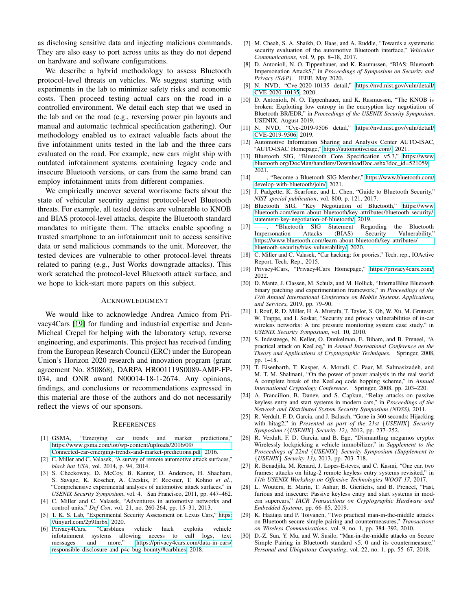as disclosing sensitive data and injecting malicious commands. They are also easy to port across units as they do not depend on hardware and software configurations.

We describe a hybrid methodology to assess Bluetooth protocol-level threats on vehicles. We suggest starting with experiments in the lab to minimize safety risks and economic costs. Then proceed testing actual cars on the road in a controlled environment. We detail each step that we used in the lab and on the road (e.g., reversing power pin layouts and manual and automatic technical specification gathering). Our methodology enabled us to extract valuable facts about the five infotainment units tested in the lab and the three cars evaluated on the road. For example, new cars might ship with outdated infotainment systems containing legacy code and insecure Bluetooth versions, or cars from the same brand can employ infotainment units from different companies.

We empirically uncover several worrisome facts about the state of vehicular security against protocol-level Bluetooth threats. For example, all tested devices are vulnerable to KNOB and BIAS protocol-level attacks, despite the Bluetooth standard mandates to mitigate them. The attacks enable spoofing a trusted smartphone to an infotainment unit to access sensitive data or send malicious commands to the unit. Moreover, the tested devices are vulnerable to other protocol-level threats related to paring (e.g., Just Works downgrade attacks). This work scratched the protocol-level Bluetooth attack surface, and we hope to kick-start more papers on this subject.

## ACKNOWLEDGMENT

We would like to acknowledge Andrea Amico from Privacy4Cars [\[19\]](#page-8-18) for funding and industrial expertise and Jean-Micheal Crepel for helping with the laboratory setup, reverse engineering, and experiments. This project has received funding from the European Research Council (ERC) under the European Union's Horizon 2020 research and innovation program (grant agreement No. 850868), DARPA HR001119S0089-AMP-FP-034, and ONR award N00014-18-1-2674. Any opinions, findings, and conclusions or recommendations expressed in this material are those of the authors and do not necessarily reflect the views of our sponsors.

#### REFERENCES

<span id="page-8-0"></span>[1] GSMA, "Emerging car trends and market predictions," [https://www.gsma.com/iot/wp-content/uploads/2016/09/](https://www.gsma.com/iot/wp-content/uploads/2016/09/Connected-car-emerging-trends-and-market-predictions.pdf)

[Connected-car-emerging-trends-and-market-predictions.pdf,](https://www.gsma.com/iot/wp-content/uploads/2016/09/Connected-car-emerging-trends-and-market-predictions.pdf) 2016.

- <span id="page-8-1"></span>[2] C. Miller and C. Valasek, "A survey of remote automotive attack surfaces," *black hat USA*, vol. 2014, p. 94, 2014.
- <span id="page-8-2"></span>[3] S. Checkoway, D. McCoy, B. Kantor, D. Anderson, H. Shacham, S. Savage, K. Koscher, A. Czeskis, F. Roesner, T. Kohno *et al.*, "Comprehensive experimental analyses of automotive attack surfaces." in *USENIX Security Symposium*, vol. 4. San Francisco, 2011, pp. 447–462.
- <span id="page-8-3"></span>[4] C. Miller and C. Valasek, "Adventures in automotive networks and control units," *Def Con*, vol. 21, no. 260-264, pp. 15–31, 2013. [5] T. K. S. Lab, "Experimental Security Assessment on Lexus Cars," [https:](https://tinyurl.com/2p9fnrbx)
- <span id="page-8-4"></span>[//tinyurl.com/2p9fnrbx,](https://tinyurl.com/2p9fnrbx) 2020.
- <span id="page-8-5"></span>[6] Privacy4Cars, "Carsblues vehicle hack exploits vehicle infotainment systems allowing access to call logs, text<br>messages and more," https://privacy4cars.com/data-in-cars/ and more," [https://privacy4cars.com/data-in-cars/](https://privacy4cars.com/data-in-cars/responsible-disclosure-and-p4c-bug-bounty/#carblues) [responsible-disclosure-and-p4c-bug-bounty/#carblues,](https://privacy4cars.com/data-in-cars/responsible-disclosure-and-p4c-bug-bounty/#carblues) 2018.
- <span id="page-8-6"></span>[7] M. Cheah, S. A. Shaikh, O. Haas, and A. Ruddle, "Towards a systematic security evaluation of the automotive Bluetooth interface," *Vehicular Communications*, vol. 9, pp. 8–18, 2017.
- <span id="page-8-7"></span>[8] D. Antonioli, N. O. Tippenhauer, and K. Rasmussen, "BIAS: Bluetooth Impersonation AttackS," in *Proceedings of Symposium on Security and Privacy (S&P)*. IEEE, May 2020.
- <span id="page-8-8"></span>[9] N. NVD, "Cve-2020-10135 detail," [https://nvd.nist.gov/vuln/detail/](https://nvd.nist.gov/vuln/detail/CVE-2020-10135) [CVE-2020-10135,](https://nvd.nist.gov/vuln/detail/CVE-2020-10135) 2020.
- <span id="page-8-9"></span>[10] D. Antonioli, N. O. Tippenhauer, and K. Rasmussen, "The KNOB is broken: Exploiting low entropy in the encryption key negotiation of Bluetooth BR/EDR," in *Proceedings of the USENIX Security Symposium*. USENIX, August 2019.
- <span id="page-8-10"></span>[11] N. NVD, "Cve-2019-9506 detail," [https://nvd.nist.gov/vuln/detail/](https://nvd.nist.gov/vuln/detail/CVE-2019-9506) [CVE-2019-9506,](https://nvd.nist.gov/vuln/detail/CVE-2019-9506) 2019.
- <span id="page-8-11"></span>[12] Automotive Information Sharing and Analysis Center AUTO-ISAC, "AUTO-ISAC Homepage," [https://automotiveisac.com/,](https://automotiveisac.com/) 2021.
- <span id="page-8-12"></span>[13] Bluetooth SIG, "Bluetooth Core Specification v5.3," [https://www.](https://www.bluetooth.org/DocMan/handlers/DownloadDoc.ashx?doc_id=521059) [bluetooth.org/DocMan/handlers/DownloadDoc.ashx?doc](https://www.bluetooth.org/DocMan/handlers/DownloadDoc.ashx?doc_id=521059)\_id=521059, 2021.
- <span id="page-8-13"></span>[14] ——, "Become a Bluetooth SIG Member," [https://www.bluetooth.com/](https://www.bluetooth.com/develop-with-bluetooth/join/) [develop-with-bluetooth/join/,](https://www.bluetooth.com/develop-with-bluetooth/join/) 2021.
- <span id="page-8-14"></span>[15] J. Padgette, K. Scarfone, and L. Chen, "Guide to Bluetooth Security," *NIST special publication*, vol. 800, p. 121, 2017.
- <span id="page-8-15"></span>[16] Bluetooth SIG, "Key Negotiation of Bluetooth," [https://www.](https://www.bluetooth.com/learn-about-bluetooth/key-attributes/bluetooth-security/statement-key-negotiation-of-bluetooth/) [bluetooth.com/learn-about-bluetooth/key-attributes/bluetooth-security/](https://www.bluetooth.com/learn-about-bluetooth/key-attributes/bluetooth-security/statement-key-negotiation-of-bluetooth/) [statement-key-negotiation-of-bluetooth/,](https://www.bluetooth.com/learn-about-bluetooth/key-attributes/bluetooth-security/statement-key-negotiation-of-bluetooth/) 2019.
- <span id="page-8-16"></span>[17] ——, "Bluetooth SIG Statement Regarding the Bluetooth Impersonation Attacks (BIAS) Security Vulnerability," [https://www.bluetooth.com/learn-about-bluetooth/key-attributes/](https://www.bluetooth.com/learn-about-bluetooth/key-attributes/bluetooth-security/bias-vulnerability/) [bluetooth-security/bias-vulnerability/,](https://www.bluetooth.com/learn-about-bluetooth/key-attributes/bluetooth-security/bias-vulnerability/) 2020.
- <span id="page-8-17"></span>[18] C. Miller and C. Valasek, "Car hacking: for poories," Tech. rep., IOActive Report, Tech. Rep., 2015.
- <span id="page-8-18"></span>[19] Privacy4Cars, "Privacy4Cars Homepage," [https://privacy4cars.com/,](https://privacy4cars.com/) 2022.
- <span id="page-8-19"></span>[20] D. Mantz, J. Classen, M. Schulz, and M. Hollick, "InternalBlue Bluetooth binary patching and experimentation framework," in *Proceedings of the 17th Annual International Conference on Mobile Systems, Applications, and Services*, 2019, pp. 79–90.
- <span id="page-8-20"></span>[21] I. Rouf, R. D. Miller, H. A. Mustafa, T. Taylor, S. Oh, W. Xu, M. Gruteser, W. Trappe, and I. Seskar, "Security and privacy vulnerabilities of in-car wireless networks: A tire pressure monitoring system case study." in *USENIX Security Symposium*, vol. 10, 2010.
- <span id="page-8-21"></span>[22] S. Indesteege, N. Keller, O. Dunkelman, E. Biham, and B. Preneel, "A practical attack on KeeLoq," in *Annual International Conference on the Theory and Applications of Cryptographic Techniques*. Springer, 2008, pp. 1–18.
- <span id="page-8-22"></span>[23] T. Eisenbarth, T. Kasper, A. Moradi, C. Paar, M. Salmasizadeh, and M. T. M. Shalmani, "On the power of power analysis in the real world: A complete break of the KeeLoq code hopping scheme," in *Annual International Cryptology Conference*. Springer, 2008, pp. 203–220.
- <span id="page-8-23"></span>[24] A. Francillon, B. Danev, and S. Capkun, "Relay attacks on passive keyless entry and start systems in modern cars," in *Proceedings of the Network and Distributed System Security Symposium (NDSS)*, 2011.
- <span id="page-8-24"></span>[25] R. Verdult, F. D. Garcia, and J. Balasch, "Gone in 360 seconds: Hijacking with hitag2," in *Presented as part of the 21st* {*USENIX*} *Security Symposium (*{*USENIX*} *Security 12)*, 2012, pp. 237–252.
- <span id="page-8-25"></span>[26] R. Verdult, F. D. Garcia, and B. Ege, "Dismantling megamos crypto: Wirelessly lockpicking a vehicle immobilizer," in *Supplement to the Proceedings of 22nd* {*USENIX*} *Security Symposium (Supplement to* {*USENIX*} *Security 13)*, 2013, pp. 703–718.
- <span id="page-8-26"></span>[27] R. Benadjila, M. Renard, J. Lopes-Esteves, and C. Kasmi, "One car, two frames: attacks on hitag-2 remote keyless entry systems revisited," in *11th USENIX Workshop on Offensive Technologies WOOT 17*, 2017.
- <span id="page-8-27"></span>[28] L. Wouters, E. Marin, T. Ashur, B. Gierlichs, and B. Preneel, "Fast, furious and insecure: Passive keyless entry and start systems in modern supercars," *IACR Transactions on Cryptographic Hardware and Embedded Systems*, pp. 66–85, 2019.
- <span id="page-8-28"></span>[29] K. Haataja and P. Toivanen, "Two practical man-in-the-middle attacks on Bluetooth secure simple pairing and countermeasures," *Transactions on Wireless Communications*, vol. 9, no. 1, pp. 384–392, 2010.
- <span id="page-8-29"></span>[30] D.-Z. Sun, Y. Mu, and W. Susilo, "Man-in-the-middle attacks on Secure Simple Pairing in Bluetooth standard v5. 0 and its countermeasure," *Personal and Ubiquitous Computing*, vol. 22, no. 1, pp. 55–67, 2018.